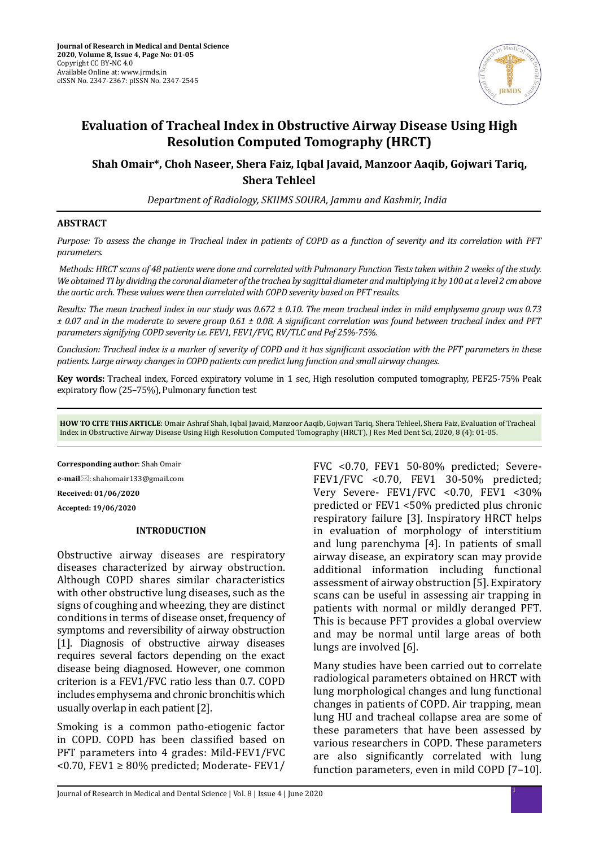

# **Evaluation of Tracheal Index in Obstructive Airway Disease Using High Resolution Computed Tomography (HRCT)**

**Shah Omair\*, Choh Naseer, Shera Faiz, Iqbal Javaid, Manzoor Aaqib, Gojwari Tariq, Shera Tehleel**

*Department of Radiology, SKIIMS SOURA, Jammu and Kashmir, India*

### **ABSTRACT**

*Purpose: To assess the change in Tracheal index in patients of COPD as a function of severity and its correlation with PFT parameters.*

 *Methods: HRCT scans of 48 patients were done and correlated with Pulmonary Function Tests taken within 2 weeks of the study. We obtained TI by dividing the coronal diameter of the trachea by sagittal diameter and multiplying it by 100 at a level 2 cm above the aortic arch. These values were then correlated with COPD severity based on PFT results.*

*Results: The mean tracheal index in our study was 0.672 ± 0.10. The mean tracheal index in mild emphysema group was 0.73 ± 0.07 and in the moderate to severe group 0.61 ± 0.08. A significant correlation was found between tracheal index and PFT parameters signifying COPD severity i.e. FEV1, FEV1/FVC, RV/TLC and Pef 25%-75%.* 

*Conclusion: Tracheal index is a marker of severity of COPD and it has significant association with the PFT parameters in these patients. Large airway changes in COPD patients can predict lung function and small airway changes.*

**Key words:** Tracheal index, Forced expiratory volume in 1 sec, High resolution computed tomography, PEF25-75% Peak expiratory flow (25–75%), Pulmonary function test

**HOW TO CITE THIS ARTICLE**: Omair Ashraf Shah, Iqbal Javaid, Manzoor Aaqib, Gojwari Tariq, Shera Tehleel, Shera Faiz, Evaluation of Tracheal Index in Obstructive Airway Disease Using High Resolution Computed Tomography (HRCT), J Res Med Dent Sci, 2020, 8 (4): 01-05.

**Corresponding author**: Shah Omair

**e-mail**⊠: shahomair133@gmail.com

**Received: 01/06/2020**

**Accepted: 19/06/2020**

#### **INTRODUCTION**

Obstructive airway diseases are respiratory diseases characterized by airway obstruction. Although COPD shares similar characteristics with other obstructive lung diseases, such as the signs of coughing and wheezing, they are distinct conditions in terms of disease onset, frequency of symptoms and reversibility of airway obstruction [1]. Diagnosis of obstructive airway diseases requires several factors depending on the exact disease being diagnosed. However, one common criterion is a FEV1/FVC ratio less than 0.7. COPD includes emphysema and chronic bronchitis which usually overlap in each patient [2].

Smoking is a common patho-etiogenic factor in COPD. COPD has been classified based on PFT parameters into 4 grades: Mild-FEV1/FVC <0.70, FEV1 ≥ 80% predicted; Moderate- FEV1/ FVC <0.70, FEV1 50-80% predicted; Severe-FEV1/FVC <0.70, FEV1 30-50% predicted; Very Severe- FEV1/FVC <0.70, FEV1 <30% predicted or FEV1 <50% predicted plus chronic respiratory failure [3]. Inspiratory HRCT helps in evaluation of morphology of interstitium and lung parenchyma [4]. In patients of small airway disease, an expiratory scan may provide additional information including functional assessment of airway obstruction [5]. Expiratory scans can be useful in assessing air trapping in patients with normal or mildly deranged PFT. This is because PFT provides a global overview and may be normal until large areas of both lungs are involved [6].

Many studies have been carried out to correlate radiological parameters obtained on HRCT with lung morphological changes and lung functional changes in patients of COPD. Air trapping, mean lung HU and tracheal collapse area are some of these parameters that have been assessed by various researchers in COPD. These parameters are also significantly correlated with lung function parameters, even in mild COPD [7–10].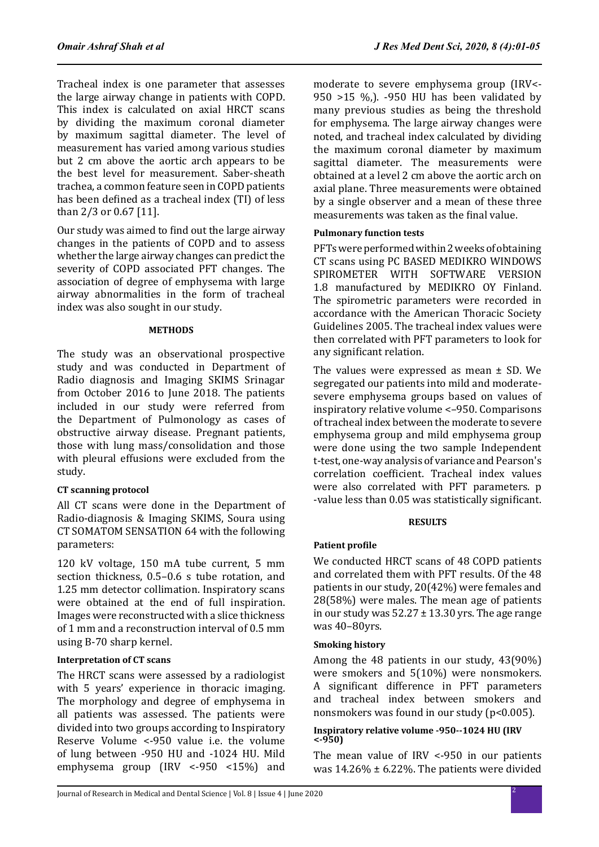Tracheal index is one parameter that assesses the large airway change in patients with COPD. This index is calculated on axial HRCT scans by dividing the maximum coronal diameter by maximum sagittal diameter. The level of measurement has varied among various studies but 2 cm above the aortic arch appears to be the best level for measurement. Saber-sheath trachea, a common feature seen in COPD patients has been defined as a tracheal index (TI) of less than 2/3 or 0.67 [11].

Our study was aimed to find out the large airway changes in the patients of COPD and to assess whether the large airway changes can predict the severity of COPD associated PFT changes. The association of degree of emphysema with large airway abnormalities in the form of tracheal index was also sought in our study.

#### **METHODS**

The study was an observational prospective study and was conducted in Department of Radio diagnosis and Imaging SKIMS Srinagar from October 2016 to June 2018. The patients included in our study were referred from the Department of Pulmonology as cases of obstructive airway disease. Pregnant patients, those with lung mass/consolidation and those with pleural effusions were excluded from the study.

### **CT scanning protocol**

All CT scans were done in the Department of Radio-diagnosis & Imaging SKIMS, Soura using CT SOMATOM SENSATION 64 with the following parameters:

120 kV voltage, 150 mA tube current, 5 mm section thickness, 0.5–0.6 s tube rotation, and 1.25 mm detector collimation. Inspiratory scans were obtained at the end of full inspiration. Images were reconstructed with a slice thickness of 1 mm and a reconstruction interval of 0.5 mm using B-70 sharp kernel.

### **Interpretation of CT scans**

The HRCT scans were assessed by a radiologist with 5 years' experience in thoracic imaging. The morphology and degree of emphysema in all patients was assessed. The patients were divided into two groups according to Inspiratory Reserve Volume <-950 value i.e. the volume of lung between -950 HU and -1024 HU. Mild emphysema group (IRV <-950 <15%) and moderate to severe emphysema group (IRV<- 950 >15 %,). -950 HU has been validated by many previous studies as being the threshold for emphysema. The large airway changes were noted, and tracheal index calculated by dividing the maximum coronal diameter by maximum sagittal diameter. The measurements were obtained at a level 2 cm above the aortic arch on axial plane. Three measurements were obtained by a single observer and a mean of these three measurements was taken as the final value.

### **Pulmonary function tests**

PFTs were performed within 2 weeks of obtaining CT scans using PC BASED MEDIKRO WINDOWS SPIROMETER WITH SOFTWARE VERSION 1.8 manufactured by MEDIKRO OY Finland. The spirometric parameters were recorded in accordance with the American Thoracic Society Guidelines 2005. The tracheal index values were then correlated with PFT parameters to look for any significant relation.

The values were expressed as mean ± SD. We segregated our patients into mild and moderatesevere emphysema groups based on values of inspiratory relative volume <–950. Comparisons of tracheal index between the moderate to severe emphysema group and mild emphysema group were done using the two sample Independent t-test, one-way analysis of variance and Pearson's correlation coefficient. Tracheal index values were also correlated with PFT parameters. p -value less than 0.05 was statistically significant.

### **RESULTS**

## **Patient profile**

We conducted HRCT scans of 48 COPD patients and correlated them with PFT results. Of the 48 patients in our study, 20(42%) were females and 28(58%) were males. The mean age of patients in our study was  $52.27 \pm 13.30$  yrs. The age range was 40–80yrs.

## **Smoking history**

Among the 48 patients in our study, 43(90%) were smokers and 5(10%) were nonsmokers. A significant difference in PFT parameters and tracheal index between smokers and nonsmokers was found in our study (p<0.005).

### **Inspiratory relative volume -950--1024 HU (IRV <-950)**

The mean value of IRV <-950 in our patients was  $14.26\% \pm 6.22\%$ . The patients were divided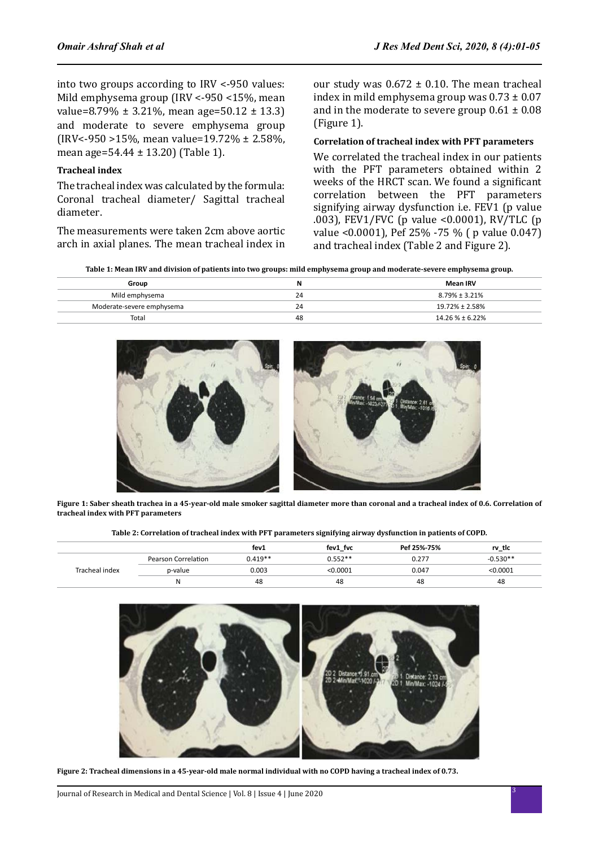into two groups according to IRV <-950 values: Mild emphysema group (IRV <-950 <15%, mean value=8.79%  $\pm$  3.21%, mean age=50.12  $\pm$  13.3) and moderate to severe emphysema group (IRV<-950 >15%, mean value=19.72% ± 2.58%, mean age=54.44 ± 13.20) (Table 1).

### **Tracheal index**

The tracheal index was calculated by the formula: Coronal tracheal diameter/ Sagittal tracheal diameter.

The measurements were taken 2cm above aortic arch in axial planes. The mean tracheal index in our study was  $0.672 \pm 0.10$ . The mean tracheal index in mild emphysema group was  $0.73 \pm 0.07$ and in the moderate to severe group  $0.61 \pm 0.08$ (Figure 1).

#### **Correlation of tracheal index with PFT parameters**

We correlated the tracheal index in our patients with the PFT parameters obtained within 2 weeks of the HRCT scan. We found a significant correlation between the PFT parameters signifying airway dysfunction i.e. FEV1 (p value .003), FEV1/FVC (p value <0.0001), RV/TLC (p value <0.0001), Pef 25% -75 % ( p value 0.047) and tracheal index (Table 2 and Figure 2).

**Table 1: Mean IRV and division of patients into two groups: mild emphysema group and moderate-severe emphysema group.**

| Group                     | N  | <b>Mean IRV</b>      |
|---------------------------|----|----------------------|
| Mild emphysema            | 24 | $8.79\% \pm 3.21\%$  |
| Moderate-severe emphysema | 24 | $19.72\% \pm 2.58\%$ |
| Total                     | 48 | $14.26% \pm 6.22%$   |



**Figure 1: Saber sheath trachea in a 45-year-old male smoker sagittal diameter more than coronal and a tracheal index of 0.6. Correlation of tracheal index with PFT parameters**

|                |                     | fev1      | fev1 fvc  | Pef 25%-75% | rv tic     |
|----------------|---------------------|-----------|-----------|-------------|------------|
| Tracheal index | Pearson Correlation | $0.419**$ | $0.552**$ | 0.277       | $-0.530**$ |
|                | p-value             | 0.003     | < 0.0001  | 0.047       | < 0.0001   |
|                | N                   | 48        | 48        | 48          | 48         |





**Figure 2: Tracheal dimensions in a 45-year-old male normal individual with no COPD having a tracheal index of 0.73.**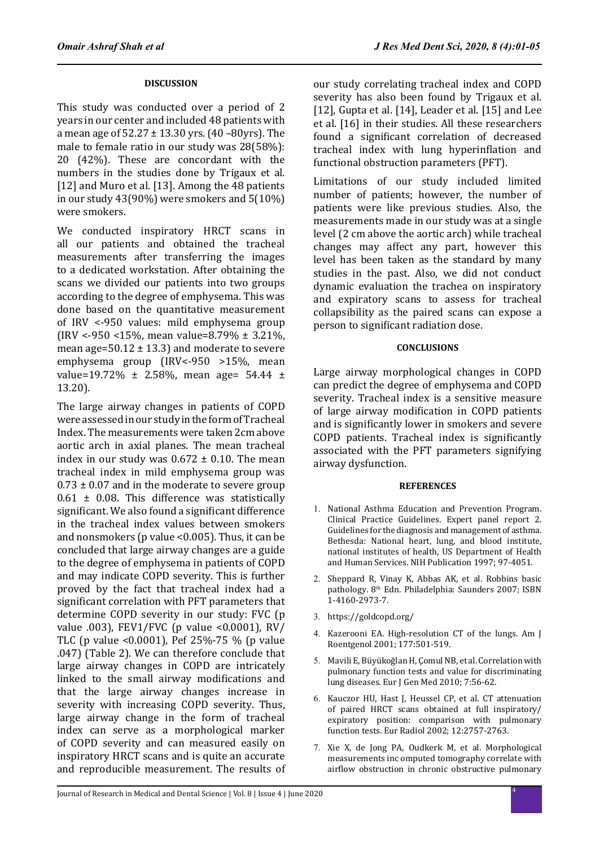### **DISCUSSION**

This study was conducted over a period of 2 years in our center and included 48 patients with a mean age of  $52.27 \pm 13.30$  yrs.  $(40 - 80$ yrs). The male to female ratio in our study was 28(58%): 20 (42%). These are concordant with the numbers in the studies done by Trigaux et al. [12] and Muro et al. [13]. Among the 48 patients in our study 43(90%) were smokers and 5(10%) were smokers.

We conducted inspiratory HRCT scans in all our patients and obtained the tracheal measurements after transferring the images to a dedicated workstation. After obtaining the scans we divided our patients into two groups according to the degree of emphysema. This was done based on the quantitative measurement of IRV <-950 values: mild emphysema group (IRV <-950 <15%, mean value=8.79% ± 3.21%, mean age= $50.12 \pm 13.3$  and moderate to severe emphysema group (IRV<-950 >15%, mean value=19.72%  $\pm$  2.58%, mean age= 54.44  $\pm$ 13.20).

The large airway changes in patients of COPD were assessed in our study in the form of Tracheal Index. The measurements were taken 2cm above aortic arch in axial planes. The mean tracheal index in our study was  $0.672 \pm 0.10$ . The mean tracheal index in mild emphysema group was  $0.73 \pm 0.07$  and in the moderate to severe group  $0.61 \pm 0.08$ . This difference was statistically significant. We also found a significant difference in the tracheal index values between smokers and nonsmokers (p value <0.005). Thus, it can be concluded that large airway changes are a guide to the degree of emphysema in patients of COPD and may indicate COPD severity. This is further proved by the fact that tracheal index had a significant correlation with PFT parameters that determine COPD severity in our study: FVC (p value .003), FEV1/FVC (p value <0.0001), RV/ TLC (p value <0.0001), Pef 25%-75 % (p value .047) (Table 2). We can therefore conclude that large airway changes in COPD are intricately linked to the small airway modifications and that the large airway changes increase in severity with increasing COPD severity. Thus, large airway change in the form of tracheal index can serve as a morphological marker of COPD severity and can measured easily on inspiratory HRCT scans and is quite an accurate and reproducible measurement. The results of our study correlating tracheal index and COPD severity has also been found by Trigaux et al. [12], Gupta et al. [14], Leader et al. [15] and Lee et al. [16] in their studies. All these researchers found a significant correlation of decreased tracheal index with lung hyperinflation and functional obstruction parameters (PFT).

Limitations of our study included limited number of patients; however, the number of patients were like previous studies. Also, the measurements made in our study was at a single level (2 cm above the aortic arch) while tracheal changes may affect any part, however this level has been taken as the standard by many studies in the past. Also, we did not conduct dynamic evaluation the trachea on inspiratory and expiratory scans to assess for tracheal collapsibility as the paired scans can expose a person to significant radiation dose.

### **CONCLUSIONS**

Large airway morphological changes in COPD can predict the degree of emphysema and COPD severity. Tracheal index is a sensitive measure of large airway modification in COPD patients and is significantly lower in smokers and severe COPD patients. Tracheal index is significantly associated with the PFT parameters signifying airway dysfunction.

### **REFERENCES**

- 1. National Asthma Education and Prevention Program. Clinical Practice Guidelines. Expert panel report 2. Guidelines for the diagnosis and management of asthma. Bethesda: National heart, lung, and blood institute, national institutes of health, US Department of Health and Human Services. NIH Publication 1997; 97-4051.
- 2. Sheppard R, Vinay K, Abbas AK, et al. Robbins basic pathology. 8th Edn. Philadelphia: Saunders 2007; ISBN 1-4160-2973-7.
- 3. https://goldcopd.org/
- 4. Kazerooni EA. High-resolution CT of the lungs. Am J Roentgenol 2001; 177:501-519.
- 5. Mavili E, Büyükoğlan H, Çomul NB, et al. Correlation with pulmonary function tests and value for discriminating lung diseases. Eur J Gen Med 2010; 7:56-62.
- 6. Kauczor HU, Hast J, Heussel CP, et al. CT attenuation of paired HRCT scans obtained at full inspiratory/ expiratory position: comparison with pulmonary function tests. Eur Radiol 2002; 12:2757-2763.
- 7. Xie X, de Jong PA, Oudkerk M, et al. Morphological measurements inc omputed tomography correlate with airflow obstruction in chronic obstructive pulmonary